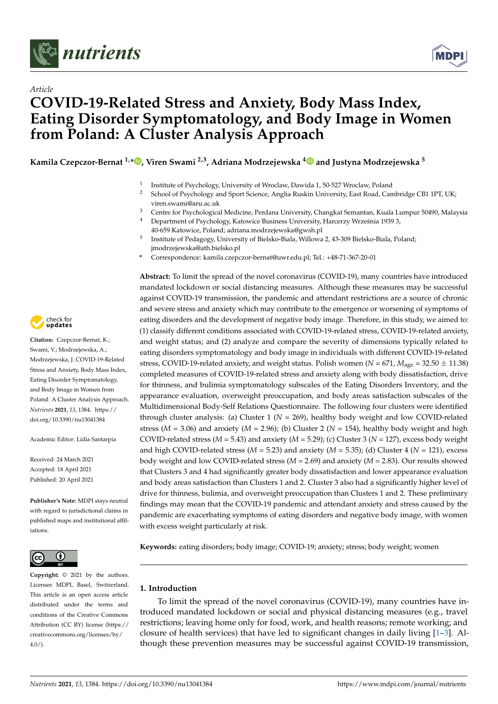



# *Article* **COVID-19-Related Stress and Anxiety, Body Mass Index, Eating Disorder Symptomatology, and Body Image in Women from Poland: A Cluster Analysis Approach**

**Kamila Czepczor-Bernat 1,[\\*](https://orcid.org/0000-0002-1707-0000) , Viren Swami 2,3, Adriana Modrzejewska [4](https://orcid.org/0000-0002-3288-4598) and Justyna Modrzejewska <sup>5</sup>**

- 1 Institute of Psychology, University of Wroclaw, Dawida 1, 50-527 Wroclaw, Poland
- <sup>2</sup> School of Psychology and Sport Science, Anglia Ruskin University, East Road, Cambridge CB1 1PT, UK; viren.swami@aru.ac.uk
- <sup>3</sup> Centre for Psychological Medicine, Perdana University, Changkat Semantan, Kuala Lumpur 50490, Malaysia
- <sup>4</sup> Department of Psychology, Katowice Business University, Harcerzy Września 1939 3, 40-659 Katowice, Poland; adriana.modrzejewska@gwsh.pl
- 5 Institute of Pedagogy, University of Bielsko-Biala, Willowa 2, 43-309 Bielsko-Biala, Poland; jmodrzejewska@ath.bielsko.pl
- **\*** Correspondence: kamila.czepczor-bernat@uwr.edu.pl; Tel.: +48-71-367-20-01

**Abstract:** To limit the spread of the novel coronavirus (COVID-19), many countries have introduced mandated lockdown or social distancing measures. Although these measures may be successful against COVID-19 transmission, the pandemic and attendant restrictions are a source of chronic and severe stress and anxiety which may contribute to the emergence or worsening of symptoms of eating disorders and the development of negative body image. Therefore, in this study, we aimed to: (1) classify different conditions associated with COVID-19-related stress, COVID-19-related anxiety, and weight status; and (2) analyze and compare the severity of dimensions typically related to eating disorders symptomatology and body image in individuals with different COVID-19-related stress, COVID-19-related anxiety, and weight status. Polish women ( $N = 671$ ,  $M_{\text{age}} = 32.50 \pm 11.38$ ) completed measures of COVID-19-related stress and anxiety along with body dissatisfaction, drive for thinness, and bulimia symptomatology subscales of the Eating Disorders Inventory, and the appearance evaluation, overweight preoccupation, and body areas satisfaction subscales of the Multidimensional Body-Self Relations Questionnaire. The following four clusters were identified through cluster analysis: (a) Cluster 1 (*N* = 269), healthy body weight and low COVID-related stress ( $M = 3.06$ ) and anxiety ( $M = 2.96$ ); (b) Cluster 2 ( $N = 154$ ), healthy body weight and high COVID-related stress (*M* = 5.43) and anxiety (*M* = 5.29); (c) Cluster 3 (*N* = 127), excess body weight and high COVID-related stress  $(M = 5.23)$  and anxiety  $(M = 5.35)$ ; (d) Cluster 4  $(N = 121)$ , excess body weight and low COVID-related stress (*M* = 2.69) and anxiety (*M* = 2.83). Our results showed that Clusters 3 and 4 had significantly greater body dissatisfaction and lower appearance evaluation and body areas satisfaction than Clusters 1 and 2. Cluster 3 also had a significantly higher level of drive for thinness, bulimia, and overweight preoccupation than Clusters 1 and 2. These preliminary findings may mean that the COVID-19 pandemic and attendant anxiety and stress caused by the pandemic are exacerbating symptoms of eating disorders and negative body image, with women with excess weight particularly at risk.

**Keywords:** eating disorders; body image; COVID-19; anxiety; stress; body weight; women

# **1. Introduction**

To limit the spread of the novel coronavirus (COVID-19), many countries have introduced mandated lockdown or social and physical distancing measures (e.g., travel restrictions; leaving home only for food, work, and health reasons; remote working; and closure of health services) that have led to significant changes in daily living [\[1](#page-9-0)[–3\]](#page-9-1). Although these prevention measures may be successful against COVID-19 transmission,



**Citation:** Czepczor-Bernat, K.; Swami, V.; Modrzejewska, A.; Modrzejewska, J. COVID-19-Related Stress and Anxiety, Body Mass Index, Eating Disorder Symptomatology, and Body Image in Women from Poland: A Cluster Analysis Approach. *Nutrients* **2021**, *13*, 1384. [https://](https://doi.org/10.3390/nu13041384) [doi.org/10.3390/nu13041384](https://doi.org/10.3390/nu13041384)

Academic Editor: Lidia Santarpia

Received: 24 March 2021 Accepted: 18 April 2021 Published: 20 April 2021

**Publisher's Note:** MDPI stays neutral with regard to jurisdictional claims in published maps and institutional affiliations.



**Copyright:** © 2021 by the authors. Licensee MDPI, Basel, Switzerland. This article is an open access article distributed under the terms and conditions of the Creative Commons Attribution (CC BY) license (https:/[/](https://creativecommons.org/licenses/by/4.0/) [creativecommons.org/licenses/by/](https://creativecommons.org/licenses/by/4.0/)  $4.0/$ ).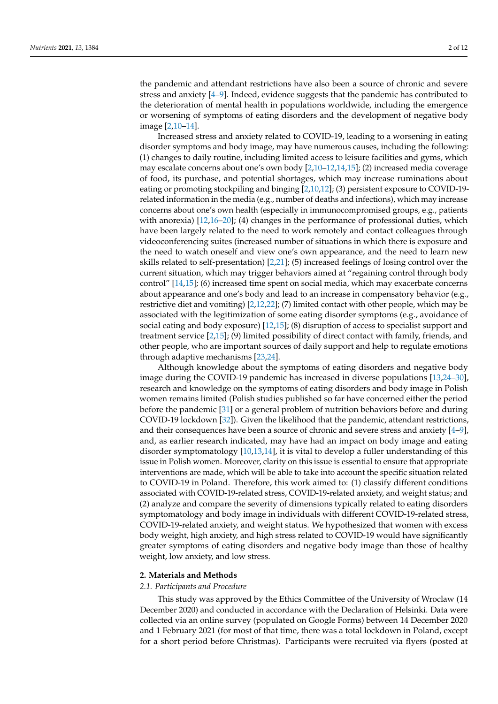the pandemic and attendant restrictions have also been a source of chronic and severe stress and anxiety [\[4–](#page-9-2)[9\]](#page-9-3). Indeed, evidence suggests that the pandemic has contributed to the deterioration of mental health in populations worldwide, including the emergence or worsening of symptoms of eating disorders and the development of negative body image [\[2,](#page-9-4)[10](#page-9-5)[–14\]](#page-9-6).

Increased stress and anxiety related to COVID-19, leading to a worsening in eating disorder symptoms and body image, may have numerous causes, including the following: (1) changes to daily routine, including limited access to leisure facilities and gyms, which may escalate concerns about one's own body [\[2](#page-9-4)[,10](#page-9-5)[–12,](#page-9-7)[14,](#page-9-6)[15\]](#page-9-8); (2) increased media coverage of food, its purchase, and potential shortages, which may increase ruminations about eating or promoting stockpiling and binging [\[2](#page-9-4)[,10,](#page-9-5)[12\]](#page-9-7); (3) persistent exposure to COVID-19 related information in the media (e.g., number of deaths and infections), which may increase concerns about one's own health (especially in immunocompromised groups, e.g., patients with anorexia) [\[12,](#page-9-7)[16](#page-9-9)[–20\]](#page-9-10); (4) changes in the performance of professional duties, which have been largely related to the need to work remotely and contact colleagues through videoconferencing suites (increased number of situations in which there is exposure and the need to watch oneself and view one's own appearance, and the need to learn new skills related to self-presentation) [\[2](#page-9-4)[,21\]](#page-10-0); (5) increased feelings of losing control over the current situation, which may trigger behaviors aimed at "regaining control through body control" [\[14](#page-9-6)[,15\]](#page-9-8); (6) increased time spent on social media, which may exacerbate concerns about appearance and one's body and lead to an increase in compensatory behavior (e.g., restrictive diet and vomiting) [\[2](#page-9-4)[,12](#page-9-7)[,22\]](#page-10-1); (7) limited contact with other people, which may be associated with the legitimization of some eating disorder symptoms (e.g., avoidance of social eating and body exposure) [\[12](#page-9-7)[,15\]](#page-9-8); (8) disruption of access to specialist support and treatment service [\[2](#page-9-4)[,15\]](#page-9-8); (9) limited possibility of direct contact with family, friends, and other people, who are important sources of daily support and help to regulate emotions through adaptive mechanisms [\[23](#page-10-2)[,24\]](#page-10-3).

Although knowledge about the symptoms of eating disorders and negative body image during the COVID-19 pandemic has increased in diverse populations [\[13,](#page-9-11)[24–](#page-10-3)[30\]](#page-10-4), research and knowledge on the symptoms of eating disorders and body image in Polish women remains limited (Polish studies published so far have concerned either the period before the pandemic [\[31\]](#page-10-5) or a general problem of nutrition behaviors before and during COVID-19 lockdown [\[32\]](#page-10-6)). Given the likelihood that the pandemic, attendant restrictions, and their consequences have been a source of chronic and severe stress and anxiety [\[4–](#page-9-2)[9\]](#page-9-3), and, as earlier research indicated, may have had an impact on body image and eating disorder symptomatology [\[10,](#page-9-5)[13,](#page-9-11)[14\]](#page-9-6), it is vital to develop a fuller understanding of this issue in Polish women. Moreover, clarity on this issue is essential to ensure that appropriate interventions are made, which will be able to take into account the specific situation related to COVID-19 in Poland. Therefore, this work aimed to: (1) classify different conditions associated with COVID-19-related stress, COVID-19-related anxiety, and weight status; and (2) analyze and compare the severity of dimensions typically related to eating disorders symptomatology and body image in individuals with different COVID-19-related stress, COVID-19-related anxiety, and weight status. We hypothesized that women with excess body weight, high anxiety, and high stress related to COVID-19 would have significantly greater symptoms of eating disorders and negative body image than those of healthy weight, low anxiety, and low stress.

### **2. Materials and Methods**

#### *2.1. Participants and Procedure*

This study was approved by the Ethics Committee of the University of Wroclaw (14 December 2020) and conducted in accordance with the Declaration of Helsinki. Data were collected via an online survey (populated on Google Forms) between 14 December 2020 and 1 February 2021 (for most of that time, there was a total lockdown in Poland, except for a short period before Christmas). Participants were recruited via flyers (posted at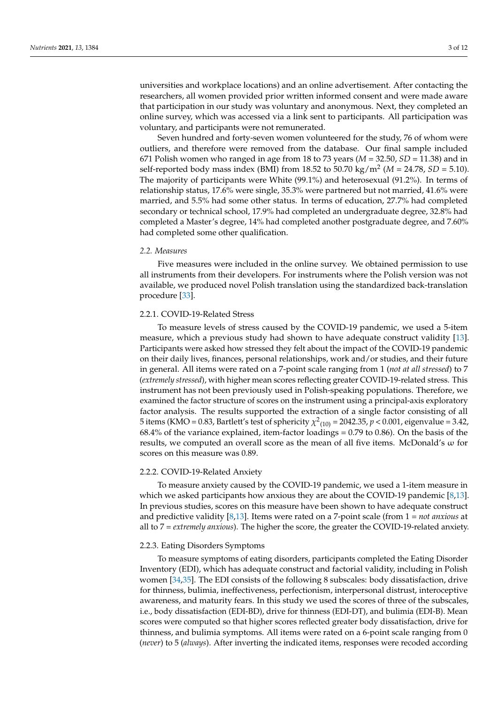universities and workplace locations) and an online advertisement. After contacting the researchers, all women provided prior written informed consent and were made aware that participation in our study was voluntary and anonymous. Next, they completed an online survey, which was accessed via a link sent to participants. All participation was voluntary, and participants were not remunerated.

Seven hundred and forty-seven women volunteered for the study, 76 of whom were outliers, and therefore were removed from the database. Our final sample included 671 Polish women who ranged in age from 18 to 73 years (*M* = 32.50, *SD* = 11.38) and in self-reported body mass index (BMI) from 18.52 to 50.70 kg/m<sup>2</sup> (*M* = 24.78, *SD* = 5.10). The majority of participants were White (99.1%) and heterosexual (91.2%). In terms of relationship status, 17.6% were single, 35.3% were partnered but not married, 41.6% were married, and 5.5% had some other status. In terms of education, 27.7% had completed secondary or technical school, 17.9% had completed an undergraduate degree, 32.8% had completed a Master's degree, 14% had completed another postgraduate degree, and 7.60% had completed some other qualification.

# *2.2. Measures*

Five measures were included in the online survey. We obtained permission to use all instruments from their developers. For instruments where the Polish version was not available, we produced novel Polish translation using the standardized back-translation procedure [\[33\]](#page-10-7).

# 2.2.1. COVID-19-Related Stress

To measure levels of stress caused by the COVID-19 pandemic, we used a 5-item measure, which a previous study had shown to have adequate construct validity [\[13\]](#page-9-11). Participants were asked how stressed they felt about the impact of the COVID-19 pandemic on their daily lives, finances, personal relationships, work and/or studies, and their future in general. All items were rated on a 7-point scale ranging from 1 (*not at all stressed*) to 7 (*extremely stressed*), with higher mean scores reflecting greater COVID-19-related stress. This instrument has not been previously used in Polish-speaking populations. Therefore, we examined the factor structure of scores on the instrument using a principal-axis exploratory factor analysis. The results supported the extraction of a single factor consisting of all 5 items (KMO = 0.83, Bartlett's test of sphericity  $\chi^2_{(10)}$  = 2042.35,  $p < 0.001$ , eigenvalue = 3.42, 68.4% of the variance explained, item-factor loadings = 0.79 to 0.86). On the basis of the results, we computed an overall score as the mean of all five items. McDonald's ω for scores on this measure was 0.89.

## 2.2.2. COVID-19-Related Anxiety

To measure anxiety caused by the COVID-19 pandemic, we used a 1-item measure in which we asked participants how anxious they are about the COVID-19 pandemic [\[8,](#page-9-12)[13\]](#page-9-11). In previous studies, scores on this measure have been shown to have adequate construct and predictive validity [\[8](#page-9-12)[,13\]](#page-9-11). Items were rated on a 7-point scale (from 1 = *not anxious* at all to 7 = *extremely anxious*). The higher the score, the greater the COVID-19-related anxiety.

#### 2.2.3. Eating Disorders Symptoms

To measure symptoms of eating disorders, participants completed the Eating Disorder Inventory (EDI), which has adequate construct and factorial validity, including in Polish women [\[34,](#page-10-8)[35\]](#page-10-9). The EDI consists of the following 8 subscales: body dissatisfaction, drive for thinness, bulimia, ineffectiveness, perfectionism, interpersonal distrust, interoceptive awareness, and maturity fears. In this study we used the scores of three of the subscales, i.e., body dissatisfaction (EDI-BD), drive for thinness (EDI-DT), and bulimia (EDI-B). Mean scores were computed so that higher scores reflected greater body dissatisfaction, drive for thinness, and bulimia symptoms. All items were rated on a 6-point scale ranging from 0 (*never*) to 5 (*always*). After inverting the indicated items, responses were recoded according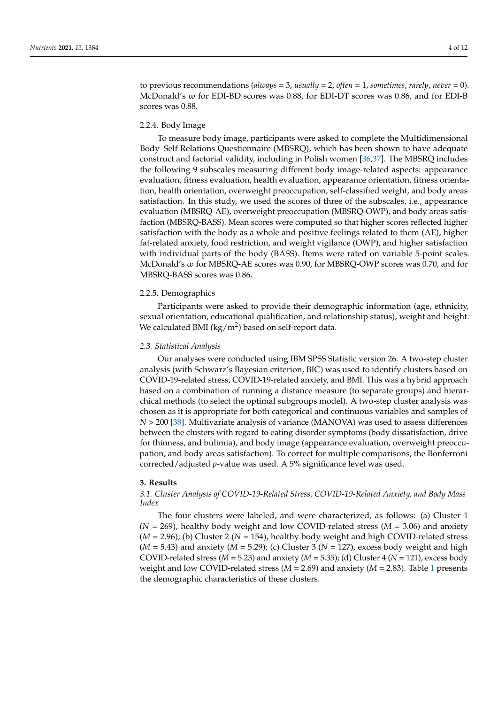to previous recommendations (*always* = 3, *usually* = 2, *often* = 1, *sometimes*, *rarely*, *never* = 0). McDonald's ω for EDI-BD scores was 0.88, for EDI-DT scores was 0.86, and for EDI-B scores was 0.88.

### 2.2.4. Body Image

To measure body image, participants were asked to complete the Multidimensional Body–Self Relations Questionnaire (MBSRQ), which has been shown to have adequate construct and factorial validity, including in Polish women [\[36,](#page-10-10)[37\]](#page-10-11). The MBSRQ includes the following 9 subscales measuring different body image-related aspects: appearance evaluation, fitness evaluation, health evaluation, appearance orientation, fitness orientation, health orientation, overweight preoccupation, self-classified weight, and body areas satisfaction. In this study, we used the scores of three of the subscales, i.e., appearance evaluation (MBSRQ-AE), overweight preoccupation (MBSRQ-OWP), and body areas satisfaction (MBSRQ-BASS). Mean scores were computed so that higher scores reflected higher satisfaction with the body as a whole and positive feelings related to them (AE), higher fat-related anxiety, food restriction, and weight vigilance (OWP), and higher satisfaction with individual parts of the body (BASS). Items were rated on variable 5-point scales. McDonald's ω for MBSRQ-AE scores was 0.90, for MBSRQ-OWP scores was 0.70, and for MBSRQ-BASS scores was 0.86.

#### 2.2.5. Demographics

Participants were asked to provide their demographic information (age, ethnicity, sexual orientation, educational qualification, and relationship status), weight and height. We calculated BMI ( $\text{kg/m}^2$ ) based on self-report data.

#### *2.3. Statistical Analysis*

Our analyses were conducted using IBM SPSS Statistic version 26. A two-step cluster analysis (with Schwarz's Bayesian criterion, BIC) was used to identify clusters based on COVID-19-related stress, COVID-19-related anxiety, and BMI. This was a hybrid approach based on a combination of running a distance measure (to separate groups) and hierarchical methods (to select the optimal subgroups model). A two-step cluster analysis was chosen as it is appropriate for both categorical and continuous variables and samples of *N* > 200 [\[38\]](#page-10-12). Multivariate analysis of variance (MANOVA) was used to assess differences between the clusters with regard to eating disorder symptoms (body dissatisfaction, drive for thinness, and bulimia), and body image (appearance evaluation, overweight preoccupation, and body areas satisfaction). To correct for multiple comparisons, the Bonferroni corrected/adjusted *p*-value was used. A 5% significance level was used.

#### **3. Results**

## *3.1. Cluster Analysis of COVID-19-Related Stress, COVID-19-Related Anxiety, and Body Mass Index*

The four clusters were labeled, and were characterized, as follows: (a) Cluster 1  $(N = 269)$ , healthy body weight and low COVID-related stress  $(M = 3.06)$  and anxiety (*M* = 2.96); (b) Cluster 2 (*N* = 154), healthy body weight and high COVID-related stress  $(M = 5.43)$  and anxiety  $(M = 5.29)$ ; (c) Cluster 3 ( $N = 127$ ), excess body weight and high COVID-related stress (*M* = 5.23) and anxiety (*M* = 5.35); (d) Cluster 4 (*N* = 121), excess body weight and low COVID-related stress (*M* = 2.69) and anxiety (*M* = 2.83). Table [1](#page-5-0) presents the demographic characteristics of these clusters.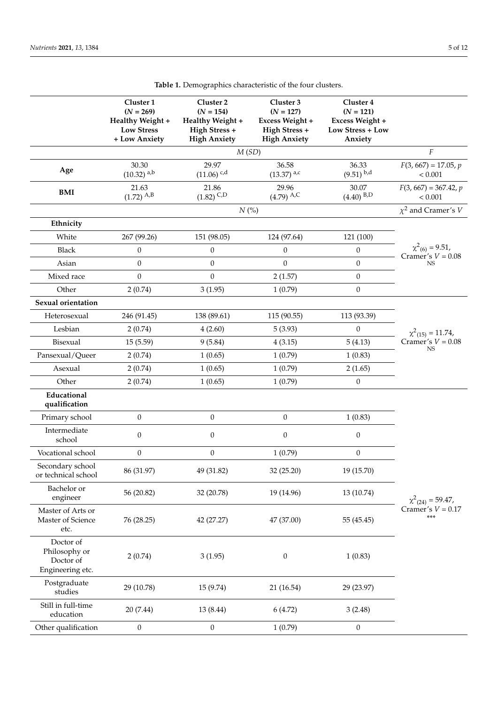|                                                             | Cluster 1<br>$(N = 269)$<br>Healthy Weight +<br><b>Low Stress</b><br>+ Low Anxiety | Cluster <sub>2</sub><br>$(N = 154)$<br>Healthy Weight +<br>High Stress +<br><b>High Anxiety</b> | Cluster 3<br>$(N = 127)$<br>Excess Weight +<br>High Stress +<br><b>High Anxiety</b> | Cluster 4<br>$(N = 121)$<br>Excess Weight +<br>Low Stress + Low<br>Anxiety |                                                                       |  |
|-------------------------------------------------------------|------------------------------------------------------------------------------------|-------------------------------------------------------------------------------------------------|-------------------------------------------------------------------------------------|----------------------------------------------------------------------------|-----------------------------------------------------------------------|--|
|                                                             |                                                                                    | M(SD)                                                                                           |                                                                                     |                                                                            |                                                                       |  |
| Age                                                         | 30.30<br>$(10.32)$ <sup>a,b</sup>                                                  | 29.97<br>$(11.06)$ <sup>c,d</sup>                                                               | 36.58<br>$(13.37)$ <sup>a,c</sup>                                                   | 36.33<br>$(9.51)$ $^{b,d}$                                                 | $F(3, 667) = 17.05, p$<br>< 0.001                                     |  |
| <b>BMI</b>                                                  | 21.63<br>$(1.72)$ A,B                                                              | 21.86<br>$(1.82)$ <sup>C<sub>,D</sub></sup>                                                     | 29.96<br>$(4.79)$ A,C                                                               | 30.07<br>$(4.40)$ <sup>B,D</sup>                                           | $F(3, 667) = 367.42, p$<br>< 0.001                                    |  |
|                                                             |                                                                                    | N(%                                                                                             |                                                                                     |                                                                            | $\chi^2$ and Cramer's V                                               |  |
| Ethnicity                                                   |                                                                                    |                                                                                                 |                                                                                     |                                                                            |                                                                       |  |
| White                                                       | 267 (99.26)                                                                        | 151 (98.05)                                                                                     | 124 (97.64)                                                                         | 121 (100)                                                                  |                                                                       |  |
| <b>Black</b>                                                | 0                                                                                  | $\boldsymbol{0}$                                                                                | $\theta$                                                                            | $\boldsymbol{0}$                                                           | $\chi^2_{(6)} = 9.51$ ,<br>Cramer's $V = 0.08$                        |  |
| Asian                                                       | $\boldsymbol{0}$                                                                   | $\boldsymbol{0}$                                                                                | $\mathbf{0}$                                                                        | $\boldsymbol{0}$                                                           | <b>NS</b>                                                             |  |
| Mixed race                                                  | $\boldsymbol{0}$                                                                   | $\boldsymbol{0}$                                                                                | 2(1.57)                                                                             | $\boldsymbol{0}$                                                           |                                                                       |  |
| Other                                                       | 2(0.74)                                                                            | 3(1.95)                                                                                         | 1(0.79)                                                                             | $\mathbf{0}$                                                               |                                                                       |  |
| Sexual orientation                                          |                                                                                    |                                                                                                 |                                                                                     |                                                                            |                                                                       |  |
| Heterosexual                                                | 246 (91.45)                                                                        | 138 (89.61)                                                                                     | 115 (90.55)                                                                         | 113 (93.39)                                                                |                                                                       |  |
| Lesbian                                                     | 2(0.74)                                                                            | 4(2.60)                                                                                         | 5(3.93)                                                                             | $\boldsymbol{0}$                                                           | $\chi^2$ <sub>(15)</sub> = 11.74,<br>Cramer's $V = 0.08$<br><b>NS</b> |  |
| Bisexual                                                    | 15(5.59)                                                                           | 9(5.84)                                                                                         | 4(3.15)                                                                             | 5(4.13)                                                                    |                                                                       |  |
| Pansexual/Queer                                             | 2(0.74)                                                                            | 1(0.65)                                                                                         | 1(0.79)                                                                             | 1(0.83)                                                                    |                                                                       |  |
| Asexual                                                     | 2(0.74)                                                                            | 1(0.65)                                                                                         | 1(0.79)                                                                             | 2(1.65)                                                                    |                                                                       |  |
| Other                                                       | 2(0.74)                                                                            | 1(0.65)                                                                                         | 1(0.79)                                                                             | $\mathbf{0}$                                                               |                                                                       |  |
| Educational<br>qualification                                |                                                                                    |                                                                                                 |                                                                                     |                                                                            |                                                                       |  |
| Primary school                                              | $\boldsymbol{0}$                                                                   | $\boldsymbol{0}$                                                                                | $\mathbf{0}$                                                                        | 1(0.83)                                                                    | $\chi^2_{(24)} = 59.47$ ,<br>Cramer's $V = 0.17$<br>$***$             |  |
| Intermediate<br>school                                      | $\boldsymbol{0}$                                                                   | $\boldsymbol{0}$                                                                                | $\boldsymbol{0}$                                                                    | $\boldsymbol{0}$                                                           |                                                                       |  |
| Vocational school                                           | $\boldsymbol{0}$                                                                   | $\boldsymbol{0}$                                                                                | 1(0.79)                                                                             | $\boldsymbol{0}$                                                           |                                                                       |  |
| Secondary school<br>or technical school                     | 86 (31.97)                                                                         | 49 (31.82)                                                                                      | 32 (25.20)                                                                          | 19 (15.70)                                                                 |                                                                       |  |
| Bachelor or<br>engineer                                     | 56 (20.82)                                                                         | 32 (20.78)                                                                                      | 19 (14.96)                                                                          | 13 (10.74)                                                                 |                                                                       |  |
| Master of Arts or<br>Master of Science<br>etc.              | 76 (28.25)                                                                         | 42 (27.27)                                                                                      | 47 (37.00)                                                                          | 55 (45.45)                                                                 |                                                                       |  |
| Doctor of<br>Philosophy or<br>Doctor of<br>Engineering etc. | 2(0.74)                                                                            | 3(1.95)                                                                                         | $\boldsymbol{0}$                                                                    | 1(0.83)                                                                    |                                                                       |  |
| Postgraduate<br>studies                                     | 29 (10.78)                                                                         | 15 (9.74)                                                                                       | 21 (16.54)                                                                          | 29 (23.97)                                                                 |                                                                       |  |
| Still in full-time<br>education                             | 20 (7.44)                                                                          | 13 (8.44)                                                                                       | 6(4.72)                                                                             | 3(2.48)                                                                    |                                                                       |  |
| Other qualification                                         | $\boldsymbol{0}$                                                                   | $\boldsymbol{0}$                                                                                | 1(0.79)                                                                             | $\boldsymbol{0}$                                                           |                                                                       |  |

**Table 1.** Demographics characteristic of the four clusters.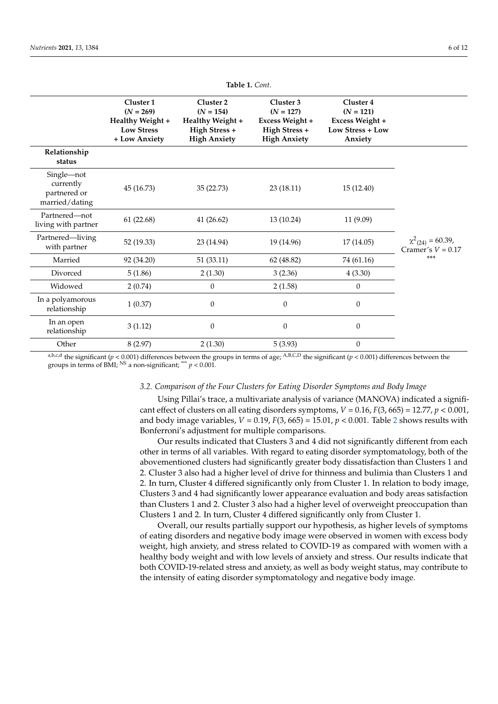<span id="page-5-0"></span>

|                                                           | Cluster 1<br>$(N = 269)$<br>Healthy Weight +<br><b>Low Stress</b><br>+ Low Anxiety | Cluster 2<br>$(N = 154)$<br>Healthy Weight +<br>High Stress +<br><b>High Anxiety</b> | Cluster 3<br>$(N = 127)$<br>Excess Weight +<br>High Stress +<br><b>High Anxiety</b> | Cluster 4<br>$(N = 121)$<br>Excess Weight +<br>Low Stress + Low<br>Anxiety |                                                         |
|-----------------------------------------------------------|------------------------------------------------------------------------------------|--------------------------------------------------------------------------------------|-------------------------------------------------------------------------------------|----------------------------------------------------------------------------|---------------------------------------------------------|
| Relationship<br>status                                    |                                                                                    |                                                                                      |                                                                                     |                                                                            |                                                         |
| Single-not<br>currently<br>partnered or<br>married/dating | 45 (16.73)                                                                         | 35 (22.73)                                                                           | 23(18.11)                                                                           | 15 (12.40)                                                                 | $\chi^2_{(24)} = 60.39$ ,<br>Cramer's $V = 0.17$<br>*** |
| Partnered-not<br>living with partner                      | 61(22.68)                                                                          | 41(26.62)                                                                            | 13 (10.24)                                                                          | 11 (9.09)                                                                  |                                                         |
| Partnered-living<br>with partner                          | 52 (19.33)                                                                         | 23 (14.94)                                                                           | 19 (14.96)                                                                          | 17(14.05)                                                                  |                                                         |
| Married                                                   | 92 (34.20)                                                                         | 51(33.11)                                                                            | 62 (48.82)                                                                          | 74 (61.16)                                                                 |                                                         |
| Divorced                                                  | 5(1.86)                                                                            | 2(1.30)                                                                              | 3(2.36)                                                                             | 4(3.30)                                                                    |                                                         |
| Widowed                                                   | 2(0.74)                                                                            | $\mathbf{0}$                                                                         | 2(1.58)                                                                             | $\boldsymbol{0}$                                                           |                                                         |
| In a polyamorous<br>relationship                          | 1(0.37)                                                                            | $\mathbf{0}$                                                                         | $\Omega$                                                                            | $\boldsymbol{0}$                                                           |                                                         |
| In an open<br>relationship                                | 3(1.12)                                                                            | $\boldsymbol{0}$                                                                     | $\theta$                                                                            | $\boldsymbol{0}$                                                           |                                                         |
| Other                                                     | 8(2.97)                                                                            | 2(1.30)                                                                              | 5(3.93)                                                                             | $\boldsymbol{0}$                                                           |                                                         |

**Table 1.** *Cont.*

a,b,c,d the significant ( $p < 0.001$ ) differences between the groups in terms of age;  $A, B, C, D$  the significant ( $p < 0.001$ ) differences between the groups in terms of BMI; <sup>NS</sup> a non-significant; \*\*\*  $p < 0.001$ .

## *3.2. Comparison of the Four Clusters for Eating Disorder Symptoms and Body Image*

Using Pillai's trace, a multivariate analysis of variance (MANOVA) indicated a significant effect of clusters on all eating disorders symptoms,  $V = 0.16$ ,  $F(3, 665) = 12.77$ ,  $p < 0.001$ , and body image variables,  $V = 0.19$ ,  $F(3, 665) = 15.01$ ,  $p < 0.001$ . Table [2](#page-6-0) shows results with Bonferroni's adjustment for multiple comparisons.

Our results indicated that Clusters 3 and 4 did not significantly different from each other in terms of all variables. With regard to eating disorder symptomatology, both of the abovementioned clusters had significantly greater body dissatisfaction than Clusters 1 and 2. Cluster 3 also had a higher level of drive for thinness and bulimia than Clusters 1 and 2. In turn, Cluster 4 differed significantly only from Cluster 1. In relation to body image, Clusters 3 and 4 had significantly lower appearance evaluation and body areas satisfaction than Clusters 1 and 2. Cluster 3 also had a higher level of overweight preoccupation than Clusters 1 and 2. In turn, Cluster 4 differed significantly only from Cluster 1.

Overall, our results partially support our hypothesis, as higher levels of symptoms of eating disorders and negative body image were observed in women with excess body weight, high anxiety, and stress related to COVID-19 as compared with women with a healthy body weight and with low levels of anxiety and stress. Our results indicate that both COVID-19-related stress and anxiety, as well as body weight status, may contribute to the intensity of eating disorder symptomatology and negative body image.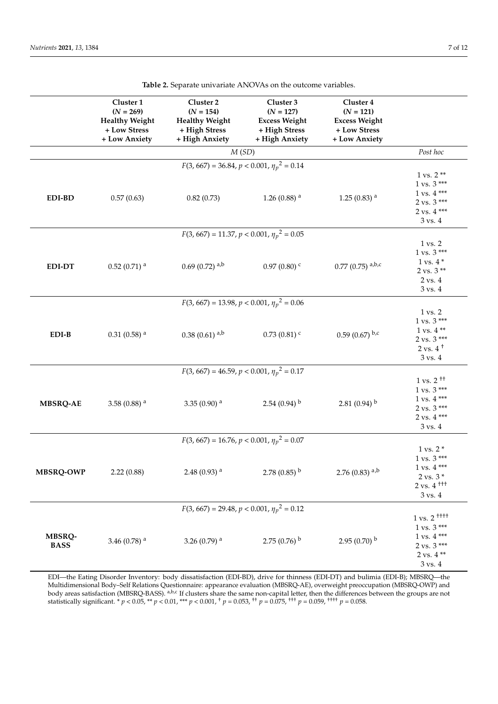<span id="page-6-0"></span>

|                                                 | Cluster 1<br>$(N = 269)$<br><b>Healthy Weight</b><br>+ Low Stress<br>+ Low Anxiety | Cluster <sub>2</sub><br>$(N = 154)$<br><b>Healthy Weight</b><br>+ High Stress<br>+ High Anxiety | Cluster 3<br>$(N = 127)$<br><b>Excess Weight</b><br>+ High Stress<br>+ High Anxiety | Cluster 4<br>$(N = 121)$<br><b>Excess Weight</b><br>+ Low Stress<br>+ Low Anxiety |                                                                                                                                                                         |  |  |  |  |
|-------------------------------------------------|------------------------------------------------------------------------------------|-------------------------------------------------------------------------------------------------|-------------------------------------------------------------------------------------|-----------------------------------------------------------------------------------|-------------------------------------------------------------------------------------------------------------------------------------------------------------------------|--|--|--|--|
|                                                 |                                                                                    | M(SD)                                                                                           |                                                                                     |                                                                                   | Post hoc                                                                                                                                                                |  |  |  |  |
| $F(3, 667) = 36.84, p < 0.001, \eta_p^2 = 0.14$ |                                                                                    |                                                                                                 |                                                                                     |                                                                                   |                                                                                                                                                                         |  |  |  |  |
| EDI-BD                                          | 0.57(0.63)                                                                         | 0.82(0.73)                                                                                      | 1.26 (0.88) $^{\rm a}$                                                              | $1.25(0.83)$ <sup>a</sup>                                                         | $1 \text{ vs. } 2$ **<br>$1 \text{ vs. } 3$ ***<br>$1 vs. 4***$<br>$2$ vs. $3***$<br>$2$ vs. $4***$<br>$3$ vs. $4$                                                      |  |  |  |  |
|                                                 | $F(3, 667) = 11.37, p < 0.001, \eta_p^2 = 0.05$                                    |                                                                                                 |                                                                                     |                                                                                   |                                                                                                                                                                         |  |  |  |  |
| <b>EDI-DT</b>                                   | $0.52(0.71)$ <sup>a</sup>                                                          | $0.69(0.72)$ <sup>a,b</sup>                                                                     | $0.97(0.80)$ <sup>c</sup>                                                           | $0.77$ (0.75) a,b,c                                                               | $1 \text{ vs. } 2$<br>1 vs. 3 ***<br>$1$ vs. $4*$<br>$2 \text{ vs. } 3$ **<br>$2$ vs. $4$<br>3 vs. 4                                                                    |  |  |  |  |
|                                                 |                                                                                    | $F(3, 667) = 13.98, p < 0.001, \eta_p^2 = 0.06$                                                 |                                                                                     |                                                                                   |                                                                                                                                                                         |  |  |  |  |
| $EDI-B$                                         | $0.31(0.58)$ <sup>a</sup>                                                          | $0.38(0.61)$ <sup>a,b</sup>                                                                     | $0.73(0.81)$ <sup>c</sup>                                                           | 0.59 (0.67) $b,c$                                                                 | $1 \text{ vs. } 2$<br>$1$ vs. $3$ $\rm{***}$<br>$1$ vs. $4**$<br>$2 \text{ vs. } 3$ ***<br>$2$ vs. $4^+$<br>$3$ vs. $4$                                                 |  |  |  |  |
|                                                 |                                                                                    | $F(3, 667) = 46.59, p < 0.001, \eta_p^2 = 0.17$                                                 |                                                                                     |                                                                                   |                                                                                                                                                                         |  |  |  |  |
| <b>MBSRQ-AE</b>                                 | 3.58 (0.88) $^{\rm a}$                                                             | 3.35 (0.90) $^{\rm a}$                                                                          | $2.54(0.94)^{b}$                                                                    | 2.81 $(0.94)$ <sup>b</sup>                                                        | $1 \text{ vs. } 2^{+1}$<br>$1$ vs. $3$ ***<br>$1$ vs. $4***$<br>$2$ vs. $3$ ***<br>$2$ vs. $4***$<br>$3 \text{ vs. } 4$                                                 |  |  |  |  |
| $F(3,667)=16.76, p<0.001, {\eta_p}^2=0.07$      |                                                                                    |                                                                                                 |                                                                                     |                                                                                   |                                                                                                                                                                         |  |  |  |  |
| MBSRQ-OWP                                       | 2.22(0.88)                                                                         | $2.48\ (0.93)$ $^{\rm a}$                                                                       | $2.78(0.85)$ <sup>b</sup>                                                           | 2.76 (0.83) $a,b$                                                                 | $1$ vs. $2*$<br>$1 \text{ vs. } 3$ ***<br>$1 \text{ vs. } 4$ ***<br>$2 \text{ vs. } 3 *$<br>$2 \text{ vs. } 4$ <sup>+++</sup><br>$3$ vs. $4$                            |  |  |  |  |
| $F(3, 667) = 29.48, p < 0.001, \eta_p^2 = 0.12$ |                                                                                    |                                                                                                 |                                                                                     |                                                                                   |                                                                                                                                                                         |  |  |  |  |
| MBSRQ-<br><b>BASS</b>                           | 3.46 (0.78) $^{\rm a}$                                                             | 3.26 (0.79) $a$                                                                                 | $2.75(0.76)^{b}$                                                                    | $2.95(0.70)^{b}$                                                                  | $1$ vs. $2$ $^{\rm{H{\small +}}{\small +}}$<br>$1$ vs. $3$ $\rm***$<br>$1$ vs. $4$ $\rm ^{***}$<br>$2 \text{ vs. } 3$ ***<br>$2$ vs. $4$ $^{\ast\ast}$<br>$3$ vs. $4\,$ |  |  |  |  |

**Table 2.** Separate univariate ANOVAs on the outcome variables.

EDI—the Eating Disorder Inventory: body dissatisfaction (EDI-BD), drive for thinness (EDI-DT) and bulimia (EDI-B); MBSRQ—the Multidimensional Body–Self Relations Questionnaire: appearance evaluation (MBSRQ-AE), overweight preoccupation (MBSRQ-OWP) and body areas satisfaction (MBSRQ-BASS). <sup>a,b,c</sup> If clusters share the same non-capital letter, then the differences between the groups are not statistically significant. \* *p* < 0.05, \*\* *p* < 0.01, \*\*\* *p* < 0.001, † *p* = 0.053, †† *p* = 0.075, ††† *p* = 0.059, †††† *p* = 0.058.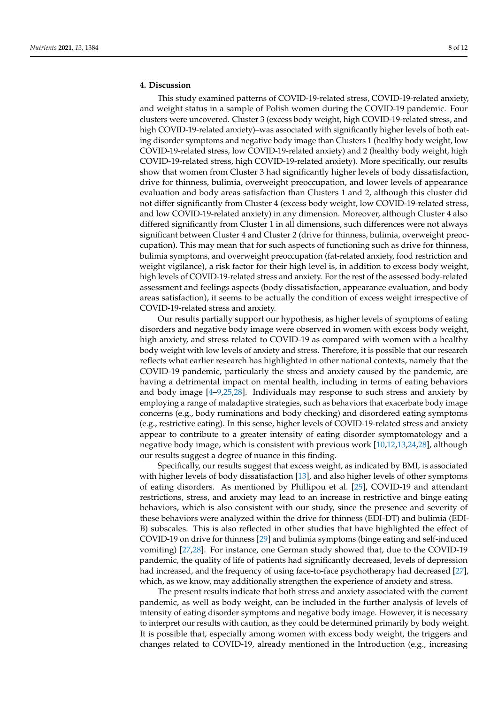# **4. Discussion**

This study examined patterns of COVID-19-related stress, COVID-19-related anxiety, and weight status in a sample of Polish women during the COVID-19 pandemic. Four clusters were uncovered. Cluster 3 (excess body weight, high COVID-19-related stress, and high COVID-19-related anxiety)–was associated with significantly higher levels of both eating disorder symptoms and negative body image than Clusters 1 (healthy body weight, low COVID-19-related stress, low COVID-19-related anxiety) and 2 (healthy body weight, high COVID-19-related stress, high COVID-19-related anxiety). More specifically, our results show that women from Cluster 3 had significantly higher levels of body dissatisfaction, drive for thinness, bulimia, overweight preoccupation, and lower levels of appearance evaluation and body areas satisfaction than Clusters 1 and 2, although this cluster did not differ significantly from Cluster 4 (excess body weight, low COVID-19-related stress, and low COVID-19-related anxiety) in any dimension. Moreover, although Cluster 4 also differed significantly from Cluster 1 in all dimensions, such differences were not always significant between Cluster 4 and Cluster 2 (drive for thinness, bulimia, overweight preoccupation). This may mean that for such aspects of functioning such as drive for thinness, bulimia symptoms, and overweight preoccupation (fat-related anxiety, food restriction and weight vigilance), a risk factor for their high level is, in addition to excess body weight, high levels of COVID-19-related stress and anxiety. For the rest of the assessed body-related assessment and feelings aspects (body dissatisfaction, appearance evaluation, and body areas satisfaction), it seems to be actually the condition of excess weight irrespective of COVID-19-related stress and anxiety.

Our results partially support our hypothesis, as higher levels of symptoms of eating disorders and negative body image were observed in women with excess body weight, high anxiety, and stress related to COVID-19 as compared with women with a healthy body weight with low levels of anxiety and stress. Therefore, it is possible that our research reflects what earlier research has highlighted in other national contexts, namely that the COVID-19 pandemic, particularly the stress and anxiety caused by the pandemic, are having a detrimental impact on mental health, including in terms of eating behaviors and body image [\[4–](#page-9-2)[9,](#page-9-3)[25,](#page-10-13)[28\]](#page-10-14). Individuals may response to such stress and anxiety by employing a range of maladaptive strategies, such as behaviors that exacerbate body image concerns (e.g., body ruminations and body checking) and disordered eating symptoms (e.g., restrictive eating). In this sense, higher levels of COVID-19-related stress and anxiety appear to contribute to a greater intensity of eating disorder symptomatology and a negative body image, which is consistent with previous work [\[10,](#page-9-5)[12,](#page-9-7)[13,](#page-9-11)[24,](#page-10-3)[28\]](#page-10-14), although our results suggest a degree of nuance in this finding.

Specifically, our results suggest that excess weight, as indicated by BMI, is associated with higher levels of body dissatisfaction [\[13\]](#page-9-11), and also higher levels of other symptoms of eating disorders. As mentioned by Phillipou et al. [\[25\]](#page-10-13), COVID-19 and attendant restrictions, stress, and anxiety may lead to an increase in restrictive and binge eating behaviors, which is also consistent with our study, since the presence and severity of these behaviors were analyzed within the drive for thinness (EDI-DT) and bulimia (EDI-B) subscales. This is also reflected in other studies that have highlighted the effect of COVID-19 on drive for thinness [\[29\]](#page-10-15) and bulimia symptoms (binge eating and self-induced vomiting) [\[27](#page-10-16)[,28\]](#page-10-14). For instance, one German study showed that, due to the COVID-19 pandemic, the quality of life of patients had significantly decreased, levels of depression had increased, and the frequency of using face-to-face psychotherapy had decreased [\[27\]](#page-10-16), which, as we know, may additionally strengthen the experience of anxiety and stress.

The present results indicate that both stress and anxiety associated with the current pandemic, as well as body weight, can be included in the further analysis of levels of intensity of eating disorder symptoms and negative body image. However, it is necessary to interpret our results with caution, as they could be determined primarily by body weight. It is possible that, especially among women with excess body weight, the triggers and changes related to COVID-19, already mentioned in the Introduction (e.g., increasing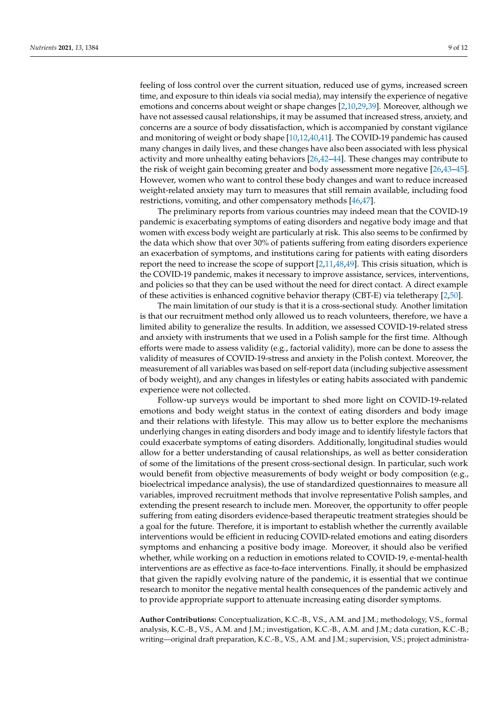feeling of loss control over the current situation, reduced use of gyms, increased screen time, and exposure to thin ideals via social media), may intensify the experience of negative emotions and concerns about weight or shape changes [\[2](#page-9-4)[,10,](#page-9-5)[29,](#page-10-15)[39\]](#page-10-17). Moreover, although we have not assessed causal relationships, it may be assumed that increased stress, anxiety, and concerns are a source of body dissatisfaction, which is accompanied by constant vigilance and monitoring of weight or body shape [\[10,](#page-9-5)[12,](#page-9-7)[40](#page-10-18)[,41\]](#page-10-19). The COVID-19 pandemic has caused many changes in daily lives, and these changes have also been associated with less physical activity and more unhealthy eating behaviors [\[26,](#page-10-20)[42–](#page-10-21)[44\]](#page-10-22). These changes may contribute to the risk of weight gain becoming greater and body assessment more negative [\[26,](#page-10-20)[43](#page-10-23)[–45\]](#page-10-24). However, women who want to control these body changes and want to reduce increased weight-related anxiety may turn to measures that still remain available, including food restrictions, vomiting, and other compensatory methods [\[46,](#page-10-25)[47\]](#page-10-26).

The preliminary reports from various countries may indeed mean that the COVID-19 pandemic is exacerbating symptoms of eating disorders and negative body image and that women with excess body weight are particularly at risk. This also seems to be confirmed by the data which show that over 30% of patients suffering from eating disorders experience an exacerbation of symptoms, and institutions caring for patients with eating disorders report the need to increase the scope of support [\[2](#page-9-4)[,11,](#page-9-13)[48,](#page-11-0)[49\]](#page-11-1). This crisis situation, which is the COVID-19 pandemic, makes it necessary to improve assistance, services, interventions, and policies so that they can be used without the need for direct contact. A direct example of these activities is enhanced cognitive behavior therapy (CBT-E) via teletherapy [\[2](#page-9-4)[,50\]](#page-11-2).

The main limitation of our study is that it is a cross-sectional study. Another limitation is that our recruitment method only allowed us to reach volunteers, therefore, we have a limited ability to generalize the results. In addition, we assessed COVID-19-related stress and anxiety with instruments that we used in a Polish sample for the first time. Although efforts were made to assess validity (e.g., factorial validity), more can be done to assess the validity of measures of COVID-19-stress and anxiety in the Polish context. Moreover, the measurement of all variables was based on self-report data (including subjective assessment of body weight), and any changes in lifestyles or eating habits associated with pandemic experience were not collected.

Follow-up surveys would be important to shed more light on COVID-19-related emotions and body weight status in the context of eating disorders and body image and their relations with lifestyle. This may allow us to better explore the mechanisms underlying changes in eating disorders and body image and to identify lifestyle factors that could exacerbate symptoms of eating disorders. Additionally, longitudinal studies would allow for a better understanding of causal relationships, as well as better consideration of some of the limitations of the present cross-sectional design. In particular, such work would benefit from objective measurements of body weight or body composition (e.g., bioelectrical impedance analysis), the use of standardized questionnaires to measure all variables, improved recruitment methods that involve representative Polish samples, and extending the present research to include men. Moreover, the opportunity to offer people suffering from eating disorders evidence-based therapeutic treatment strategies should be a goal for the future. Therefore, it is important to establish whether the currently available interventions would be efficient in reducing COVID-related emotions and eating disorders symptoms and enhancing a positive body image. Moreover, it should also be verified whether, while working on a reduction in emotions related to COVID-19, e-mental-health interventions are as effective as face-to-face interventions. Finally, it should be emphasized that given the rapidly evolving nature of the pandemic, it is essential that we continue research to monitor the negative mental health consequences of the pandemic actively and to provide appropriate support to attenuate increasing eating disorder symptoms.

**Author Contributions:** Conceptualization, K.C.-B., V.S., A.M. and J.M.; methodology, V.S., formal analysis, K.C.-B., V.S., A.M. and J.M.; investigation, K.C.-B., A.M. and J.M.; data curation, K.C.-B.; writing—original draft preparation, K.C.-B., V.S., A.M. and J.M.; supervision, V.S.; project administra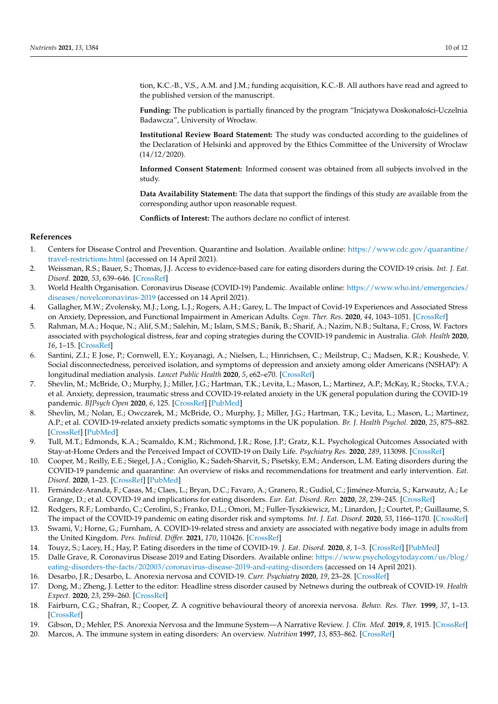tion, K.C.-B., V.S., A.M. and J.M.; funding acquisition, K.C.-B. All authors have read and agreed to the published version of the manuscript.

Funding: The publication is partially financed by the program "Inicjatywa Doskonałości-Uczelnia Badawcza", University of Wrocław.

**Institutional Review Board Statement:** The study was conducted according to the guidelines of the Declaration of Helsinki and approved by the Ethics Committee of the University of Wroclaw (14/12/2020).

**Informed Consent Statement:** Informed consent was obtained from all subjects involved in the study.

**Data Availability Statement:** The data that support the findings of this study are available from the corresponding author upon reasonable request.

**Conflicts of Interest:** The authors declare no conflict of interest.

## **References**

- <span id="page-9-0"></span>1. Centers for Disease Control and Prevention. Quarantine and Isolation. Available online: [https://www.cdc.gov/quarantine/](https://www.cdc.gov/quarantine/travel-restrictions.html) [travel-restrictions.html](https://www.cdc.gov/quarantine/travel-restrictions.html) (accessed on 14 April 2021).
- <span id="page-9-4"></span>2. Weissman, R.S.; Bauer, S.; Thomas, J.J. Access to evidence-based care for eating disorders during the COVID-19 crisis. *Int. J. Eat. Disord.* **2020**, *53*, 639–646. [\[CrossRef\]](http://doi.org/10.1002/eat.23279)
- <span id="page-9-1"></span>3. World Health Organisation. Coronavirus Disease (COVID-19) Pandemic. Available online: [https://www.who.int/emergencies/](https://www.who.int/emergencies/diseases/novelcoronavirus-2019) [diseases/novelcoronavirus-2019](https://www.who.int/emergencies/diseases/novelcoronavirus-2019) (accessed on 14 April 2021).
- <span id="page-9-2"></span>4. Gallagher, M.W.; Zvolensky, M.J.; Long, L.J.; Rogers, A.H.; Garey, L. The Impact of Covid-19 Experiences and Associated Stress on Anxiety, Depression, and Functional Impairment in American Adults. *Cogn. Ther. Res.* **2020**, *44*, 1043–1051. [\[CrossRef\]](http://doi.org/10.1007/s10608-020-10143-y)
- 5. Rahman, M.A.; Hoque, N.; Alif, S.M.; Salehin, M.; Islam, S.M.S.; Banik, B.; Sharif, A.; Nazim, N.B.; Sultana, F.; Cross, W. Factors associated with psychological distress, fear and coping strategies during the COVID-19 pandemic in Australia. *Glob. Health* **2020**, *16*, 1–15. [\[CrossRef\]](http://doi.org/10.1186/s12992-020-00624-w)
- 6. Santini, Z.I.; E Jose, P.; Cornwell, E.Y.; Koyanagi, A.; Nielsen, L.; Hinrichsen, C.; Meilstrup, C.; Madsen, K.R.; Koushede, V. Social disconnectedness, perceived isolation, and symptoms of depression and anxiety among older Americans (NSHAP): A longitudinal mediation analysis. *Lancet Public Health* **2020**, *5*, e62–e70. [\[CrossRef\]](http://doi.org/10.1016/S2468-2667(19)30230-0)
- 7. Shevlin, M.; McBride, O.; Murphy, J.; Miller, J.G.; Hartman, T.K.; Levita, L.; Mason, L.; Martinez, A.P.; McKay, R.; Stocks, T.V.A.; et al. Anxiety, depression, traumatic stress and COVID-19-related anxiety in the UK general population during the COVID-19 pandemic. *BJPsych Open* **2020**, *6*, 125. [\[CrossRef\]](http://doi.org/10.1192/bjo.2020.109) [\[PubMed\]](http://www.ncbi.nlm.nih.gov/pubmed/33070797)
- <span id="page-9-12"></span>8. Shevlin, M.; Nolan, E.; Owczarek, M.; McBride, O.; Murphy, J.; Miller, J.G.; Hartman, T.K.; Levita, L.; Mason, L.; Martinez, A.P.; et al. COVID-19-related anxiety predicts somatic symptoms in the UK population. *Br. J. Health Psychol.* **2020**, *25*, 875–882. [\[CrossRef\]](http://doi.org/10.1111/bjhp.12430) [\[PubMed\]](http://www.ncbi.nlm.nih.gov/pubmed/32458550)
- <span id="page-9-3"></span>9. Tull, M.T.; Edmonds, K.A.; Scamaldo, K.M.; Richmond, J.R.; Rose, J.P.; Gratz, K.L. Psychological Outcomes Associated with Stay-at-Home Orders and the Perceived Impact of COVID-19 on Daily Life. *Psychiatry Res.* **2020**, *289*, 113098. [\[CrossRef\]](http://doi.org/10.1016/j.psychres.2020.113098)
- <span id="page-9-5"></span>10. Cooper, M.; Reilly, E.E.; Siegel, J.A.; Coniglio, K.; Sadeh-Sharvit, S.; Pisetsky, E.M.; Anderson, L.M. Eating disorders during the COVID-19 pandemic and quarantine: An overview of risks and recommendations for treatment and early intervention. *Eat. Disord.* **2020**, 1–23. [\[CrossRef\]](http://doi.org/10.1080/10640266.2020.1790271) [\[PubMed\]](http://www.ncbi.nlm.nih.gov/pubmed/32644868)
- <span id="page-9-13"></span>11. Fernández-Aranda, F.; Casas, M.; Claes, L.; Bryan, D.C.; Favaro, A.; Granero, R.; Gudiol, C.; Jiménez-Murcia, S.; Karwautz, A.; Le Grange, D.; et al. COVID-19 and implications for eating disorders. *Eur. Eat. Disord. Rev.* **2020**, *28*, 239–245. [\[CrossRef\]](http://doi.org/10.1002/erv.2738)
- <span id="page-9-7"></span>12. Rodgers, R.F.; Lombardo, C.; Cerolini, S.; Franko, D.L.; Omori, M.; Fuller-Tyszkiewicz, M.; Linardon, J.; Courtet, P.; Guillaume, S. The impact of the COVID-19 pandemic on eating disorder risk and symptoms. *Int. J. Eat. Disord.* **2020**, *53*, 1166–1170. [\[CrossRef\]](http://doi.org/10.1002/eat.23318)
- <span id="page-9-11"></span>13. Swami, V.; Horne, G.; Furnham, A. COVID-19-related stress and anxiety are associated with negative body image in adults from the United Kingdom. *Pers. Individ. Differ.* **2021**, *170*, 110426. [\[CrossRef\]](http://doi.org/10.1016/j.paid.2020.110426)
- <span id="page-9-6"></span>14. Touyz, S.; Lacey, H.; Hay, P. Eating disorders in the time of COVID-19. *J. Eat. Disord.* **2020**, *8*, 1–3. [\[CrossRef\]](http://doi.org/10.1186/s40337-020-00295-3) [\[PubMed\]](http://www.ncbi.nlm.nih.gov/pubmed/32337045)
- <span id="page-9-8"></span>15. Dalle Grave, R. Coronavirus Disease 2019 and Eating Disorders. Available online: [https://www.psychologytoday.com/us/blog/](https://www.psychologytoday.com/us/blog/eating-disorders-the-facts/202003/coronavirus-disease-2019-and-eating-disorders) [eating-disorders-the-facts/202003/coronavirus-disease-2019-and-eating-disorders](https://www.psychologytoday.com/us/blog/eating-disorders-the-facts/202003/coronavirus-disease-2019-and-eating-disorders) (accessed on 14 April 2021).
- <span id="page-9-9"></span>16. Desarbo, J.R.; Desarbo, L. Anorexia nervosa and COVID-19. *Curr. Psychiatry* **2020**, *19*, 23–28. [\[CrossRef\]](http://doi.org/10.12788/cp.0011)
- 17. Dong, M.; Zheng, J. Letter to the editor: Headline stress disorder caused by Netnews during the outbreak of COVID-19. *Health Expect.* **2020**, *23*, 259–260. [\[CrossRef\]](http://doi.org/10.1111/hex.13055)
- 18. Fairburn, C.G.; Shafran, R.; Cooper, Z. A cognitive behavioural theory of anorexia nervosa. *Behav. Res. Ther.* **1999**, *37*, 1–13. [\[CrossRef\]](http://doi.org/10.1016/S0005-7967(98)00102-8)
- 19. Gibson, D.; Mehler, P.S. Anorexia Nervosa and the Immune System—A Narrative Review. *J. Clin. Med.* **2019**, *8*, 1915. [\[CrossRef\]](http://doi.org/10.3390/jcm8111915)
- <span id="page-9-10"></span>20. Marcos, A. The immune system in eating disorders: An overview. *Nutrition* **1997**, *13*, 853–862. [\[CrossRef\]](http://doi.org/10.1016/S0899-9007(97)00272-4)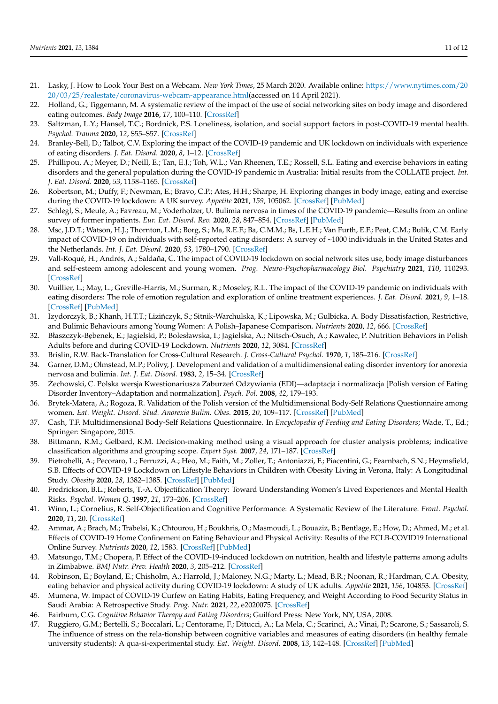- <span id="page-10-0"></span>21. Lasky, J. How to Look Your Best on a Webcam. *New York Times*, 25 March 2020. Available online: [https://www.nytimes.com/20](https://www.nytimes.com/2020/03/25/realestate/coronavirus-webcam-appearance.html) [20/03/25/realestate/coronavirus-webcam-appearance.html\(](https://www.nytimes.com/2020/03/25/realestate/coronavirus-webcam-appearance.html)accessed on 14 April 2021).
- <span id="page-10-1"></span>22. Holland, G.; Tiggemann, M. A systematic review of the impact of the use of social networking sites on body image and disordered eating outcomes. *Body Image* **2016**, *17*, 100–110. [\[CrossRef\]](http://doi.org/10.1016/j.bodyim.2016.02.008)
- <span id="page-10-2"></span>23. Saltzman, L.Y.; Hansel, T.C.; Bordnick, P.S. Loneliness, isolation, and social support factors in post-COVID-19 mental health. *Psychol. Trauma* **2020**, *12*, S55–S57. [\[CrossRef\]](http://doi.org/10.1037/tra0000703)
- <span id="page-10-3"></span>24. Branley-Bell, D.; Talbot, C.V. Exploring the impact of the COVID-19 pandemic and UK lockdown on individuals with experience of eating disorders. *J. Eat. Disord.* **2020**, *8*, 1–12. [\[CrossRef\]](http://doi.org/10.1186/s40337-020-00319-y)
- <span id="page-10-13"></span>25. Phillipou, A.; Meyer, D.; Neill, E.; Tan, E.J.; Toh, W.L.; Van Rheenen, T.E.; Rossell, S.L. Eating and exercise behaviors in eating disorders and the general population during the COVID-19 pandemic in Australia: Initial results from the COLLATE project. *Int. J. Eat. Disord.* **2020**, *53*, 1158–1165. [\[CrossRef\]](http://doi.org/10.1002/eat.23317)
- <span id="page-10-20"></span>26. Robertson, M.; Duffy, F.; Newman, E.; Bravo, C.P.; Ates, H.H.; Sharpe, H. Exploring changes in body image, eating and exercise during the COVID-19 lockdown: A UK survey. *Appetite* **2021**, *159*, 105062. [\[CrossRef\]](http://doi.org/10.1016/j.appet.2020.105062) [\[PubMed\]](http://www.ncbi.nlm.nih.gov/pubmed/33278549)
- <span id="page-10-16"></span>27. Schlegl, S.; Meule, A.; Favreau, M.; Voderholzer, U. Bulimia nervosa in times of the COVID-19 pandemic—Results from an online survey of former inpatients. *Eur. Eat. Disord. Rev.* **2020**, *28*, 847–854. [\[CrossRef\]](http://doi.org/10.1002/erv.2773) [\[PubMed\]](http://www.ncbi.nlm.nih.gov/pubmed/32767858)
- <span id="page-10-14"></span>28. Msc, J.D.T.; Watson, H.J.; Thornton, L.M.; Borg, S.; Ma, R.E.F.; Ba, C.M.M.; Bs, L.E.H.; Van Furth, E.F.; Peat, C.M.; Bulik, C.M. Early impact of COVID-19 on individuals with self-reported eating disorders: A survey of ~1000 individuals in the United States and the Netherlands. *Int. J. Eat. Disord.* **2020**, *53*, 1780–1790. [\[CrossRef\]](http://doi.org/10.1002/eat.23353)
- <span id="page-10-15"></span>29. Vall-Roqué, H.; Andrés, A.; Saldaña, C. The impact of COVID-19 lockdown on social network sites use, body image disturbances and self-esteem among adolescent and young women. *Prog. Neuro-Psychopharmacology Biol. Psychiatry* **2021**, *110*, 110293. [\[CrossRef\]](http://doi.org/10.1016/j.pnpbp.2021.110293)
- <span id="page-10-4"></span>30. Vuillier, L.; May, L.; Greville-Harris, M.; Surman, R.; Moseley, R.L. The impact of the COVID-19 pandemic on individuals with eating disorders: The role of emotion regulation and exploration of online treatment experiences. *J. Eat. Disord.* **2021**, *9*, 1–18. [\[CrossRef\]](http://doi.org/10.1186/s40337-020-00362-9) [\[PubMed\]](http://www.ncbi.nlm.nih.gov/pubmed/33436064)
- <span id="page-10-5"></span>31. Izydorczyk, B.; Khanh, H.T.T.; Lizińczyk, S.; Sitnik-Warchulska, K.; Lipowska, M.; Gulbicka, A. Body Dissatisfaction, Restrictive, and Bulimic Behaviours among Young Women: A Polish–Japanese Comparison. *Nutrients* **2020**, *12*, 666. [\[CrossRef\]](http://doi.org/10.3390/nu12030666)
- <span id="page-10-6"></span>32. Błaszczyk-Bębenek, E.; Jagielski, P.; Bolesławska, I.; Jagielska, A.; Nitsch-Osuch, A.; Kawalec, P. Nutrition Behaviors in Polish Adults before and during COVID-19 Lockdown. *Nutrients* **2020**, *12*, 3084. [\[CrossRef\]](http://doi.org/10.3390/nu12103084)
- <span id="page-10-7"></span>33. Brislin, R.W. Back-Translation for Cross-Cultural Research. *J. Cross-Cultural Psychol.* **1970**, *1*, 185–216. [\[CrossRef\]](http://doi.org/10.1177/135910457000100301)
- <span id="page-10-8"></span>34. Garner, D.M.; Olmstead, M.P.; Polivy, J. Development and validation of a multidimensional eating disorder inventory for anorexia nervosa and bulimia. *Int. J. Eat. Disord.* **1983**, *2*, 15–34. [\[CrossRef\]](http://doi.org/10.1002/1098-108X(198321)2:2<15::AID-EAT2260020203>3.0.CO;2-6)
- <span id="page-10-9"></span>35. Żechowski, C. Polska wersja Kwestionariusza Zaburzeń Odzywiania (EDI)—adaptacja i normalizacja [Polish version of Eating Disorder Inventory–Adaptation and normalization]. *Psych. Pol.* **2008**, *42*, 179–193.
- <span id="page-10-10"></span>36. Brytek-Matera, A.; Rogoza, R. Validation of the Polish version of the Multidimensional Body-Self Relations Questionnaire among women. *Eat. Weight. Disord. Stud. Anorexia Bulim. Obes.* **2015**, *20*, 109–117. [\[CrossRef\]](http://doi.org/10.1007/s40519-014-0156-x) [\[PubMed\]](http://www.ncbi.nlm.nih.gov/pubmed/25249404)
- <span id="page-10-11"></span>37. Cash, T.F. Multidimensional Body-Self Relations Questionnaire. In *Encyclopedia of Feeding and Eating Disorders*; Wade, T., Ed.; Springer: Singapore, 2015.
- <span id="page-10-12"></span>38. Bittmann, R.M.; Gelbard, R.M. Decision-making method using a visual approach for cluster analysis problems; indicative classification algorithms and grouping scope. *Expert Syst.* **2007**, *24*, 171–187. [\[CrossRef\]](http://doi.org/10.1111/j.1468-0394.2007.00428.x)
- <span id="page-10-17"></span>39. Pietrobelli, A.; Pecoraro, L.; Ferruzzi, A.; Heo, M.; Faith, M.; Zoller, T.; Antoniazzi, F.; Piacentini, G.; Fearnbach, S.N.; Heymsfield, S.B. Effects of COVID-19 Lockdown on Lifestyle Behaviors in Children with Obesity Living in Verona, Italy: A Longitudinal Study. *Obesity* **2020**, *28*, 1382–1385. [\[CrossRef\]](http://doi.org/10.1002/oby.22861) [\[PubMed\]](http://www.ncbi.nlm.nih.gov/pubmed/32352652)
- <span id="page-10-18"></span>40. Fredrickson, B.L.; Roberts, T.-A. Objectification Theory: Toward Understanding Women's Lived Experiences and Mental Health Risks. *Psychol. Women Q.* **1997**, *21*, 173–206. [\[CrossRef\]](http://doi.org/10.1111/j.1471-6402.1997.tb00108.x)
- <span id="page-10-19"></span>41. Winn, L.; Cornelius, R. Self-Objectification and Cognitive Performance: A Systematic Review of the Literature. *Front. Psychol.* **2020**, *11*, 20. [\[CrossRef\]](http://doi.org/10.3389/fpsyg.2020.00020)
- <span id="page-10-21"></span>42. Ammar, A.; Brach, M.; Trabelsi, K.; Chtourou, H.; Boukhris, O.; Masmoudi, L.; Bouaziz, B.; Bentlage, E.; How, D.; Ahmed, M.; et al. Effects of COVID-19 Home Confinement on Eating Behaviour and Physical Activity: Results of the ECLB-COVID19 International Online Survey. *Nutrients* **2020**, *12*, 1583. [\[CrossRef\]](http://doi.org/10.3390/nu12061583) [\[PubMed\]](http://www.ncbi.nlm.nih.gov/pubmed/32481594)
- <span id="page-10-23"></span>43. Matsungo, T.M.; Chopera, P. Effect of the COVID-19-induced lockdown on nutrition, health and lifestyle patterns among adults in Zimbabwe. *BMJ Nutr. Prev. Health* **2020**, *3*, 205–212. [\[CrossRef\]](http://doi.org/10.1136/bmjnph-2020-000124)
- <span id="page-10-22"></span>44. Robinson, E.; Boyland, E.; Chisholm, A.; Harrold, J.; Maloney, N.G.; Marty, L.; Mead, B.R.; Noonan, R.; Hardman, C.A. Obesity, eating behavior and physical activity during COVID-19 lockdown: A study of UK adults. *Appetite* **2021**, *156*, 104853. [\[CrossRef\]](http://doi.org/10.1016/j.appet.2020.104853)
- <span id="page-10-24"></span>45. Mumena, W. Impact of COVID-19 Curfew on Eating Habits, Eating Frequency, and Weight According to Food Security Status in Saudi Arabia: A Retrospective Study. *Prog. Nutr.* **2021**, *22*, e2020075. [\[CrossRef\]](http://doi.org/10.23751/pn.v22i4.9883)
- <span id="page-10-25"></span>46. Fairburn, C.G. *Cognitive Behavior Therapy and Eating Disorders*; Guilford Press: New York, NY, USA, 2008.
- <span id="page-10-26"></span>47. Ruggiero, G.M.; Bertelli, S.; Boccalari, L.; Centorame, F.; Ditucci, A.; La Mela, C.; Scarinci, A.; Vinai, P.; Scarone, S.; Sassaroli, S. The influence of stress on the rela-tionship between cognitive variables and measures of eating disorders (in healthy female university students): A qua-si-experimental study. *Eat. Weight. Disord.* **2008**, *13*, 142–148. [\[CrossRef\]](http://doi.org/10.1007/BF03327615) [\[PubMed\]](http://www.ncbi.nlm.nih.gov/pubmed/19011372)